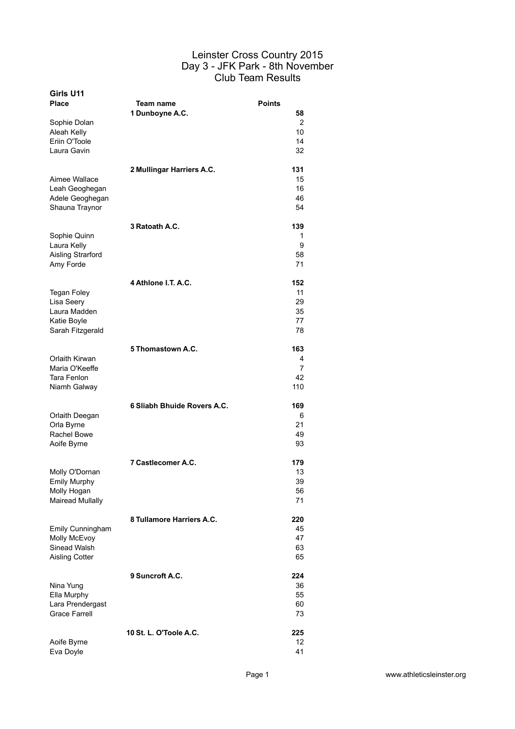| Girls U11<br>Place                                                                  | Team name<br>1 Dunboyne A.C. | <b>Points</b><br>58               |
|-------------------------------------------------------------------------------------|------------------------------|-----------------------------------|
| Sophie Dolan<br>Aleah Kelly<br>Eriin O'Toole<br>Laura Gavin                         |                              | 2<br>10 <sup>1</sup><br>14<br>32  |
| Aimee Wallace<br>Leah Geoghegan<br>Adele Geoghegan<br>Shauna Traynor                | 2 Mullingar Harriers A.C.    | 131<br>15<br>16<br>46<br>54       |
| Sophie Quinn<br>Laura Kelly<br>Aisling Strarford<br>Amy Forde                       | 3 Ratoath A.C.               | 139<br>1<br>9<br>58<br>71         |
| <b>Tegan Foley</b><br>Lisa Seery<br>Laura Madden<br>Katie Boyle<br>Sarah Fitzgerald | 4 Athlone I.T. A.C.          | 152<br>11<br>29<br>35<br>77<br>78 |
| Orlaith Kirwan<br>Maria O'Keeffe<br>Tara Fenlon<br>Niamh Galway                     | 5 Thomastown A.C.            | 163<br>4<br>7<br>42<br>110        |
| Orlaith Deegan<br>Orla Byrne<br><b>Rachel Bowe</b><br>Aoife Byrne                   | 6 Sliabh Bhuide Rovers A.C.  | 169<br>6<br>21<br>49<br>93        |
| Molly O'Dornan<br><b>Emily Murphy</b><br>Molly Hogan<br><b>Mairead Mullally</b>     | 7 Castlecomer A.C.           | 179<br>13<br>39<br>56<br>71       |
| Emily Cunningham<br>Molly McEvoy<br>Sinead Walsh<br><b>Aisling Cotter</b>           | 8 Tullamore Harriers A.C.    | 220<br>45<br>47<br>63<br>65       |
| Nina Yung<br>Ella Murphy<br>Lara Prendergast<br><b>Grace Farrell</b>                | 9 Suncroft A.C.              | 224<br>36<br>55<br>60<br>73       |
| Aoife Byrne<br>Eva Doyle                                                            | 10 St. L. O'Toole A.C.       | 225<br>12<br>41                   |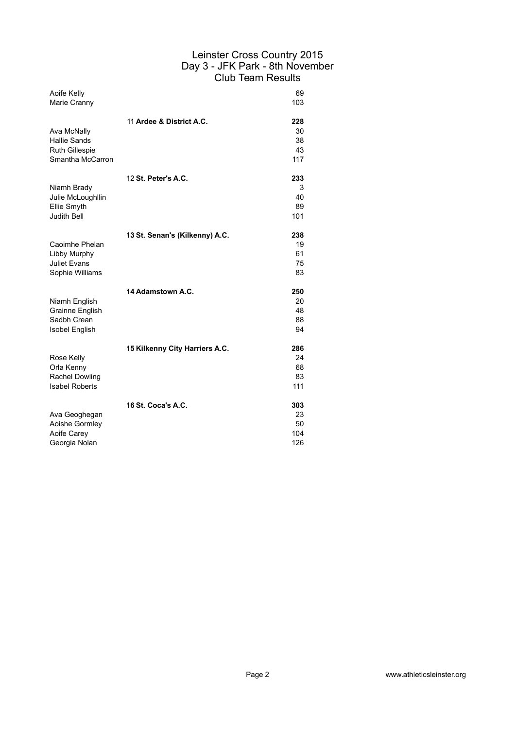| Aoife Kelly<br>Marie Cranny                                                     |                                | 69<br>103                     |
|---------------------------------------------------------------------------------|--------------------------------|-------------------------------|
| Ava McNally<br><b>Hallie Sands</b><br><b>Ruth Gillespie</b><br>Smantha McCarron | 11 Ardee & District A.C.       | 228<br>30<br>38<br>43<br>117  |
| Niamh Brady<br>Julie McLoughllin<br>Ellie Smyth<br><b>Judith Bell</b>           | 12 St. Peter's A.C.            | 233<br>3<br>40<br>89<br>101   |
| Caoimhe Phelan<br>Libby Murphy<br><b>Juliet Evans</b><br>Sophie Williams        | 13 St. Senan's (Kilkenny) A.C. | 238<br>19<br>61<br>75<br>83   |
| Niamh English<br>Grainne English<br>Sadbh Crean<br><b>Isobel English</b>        | 14 Adamstown A.C.              | 250<br>20<br>48<br>88<br>94   |
| Rose Kelly<br>Orla Kenny<br>Rachel Dowling<br><b>Isabel Roberts</b>             | 15 Kilkenny City Harriers A.C. | 286<br>24<br>68<br>83<br>111  |
| Ava Geoghegan<br>Aoishe Gormley<br>Aoife Carev<br>Georgia Nolan                 | 16 St. Coca's A.C.             | 303<br>23<br>50<br>104<br>126 |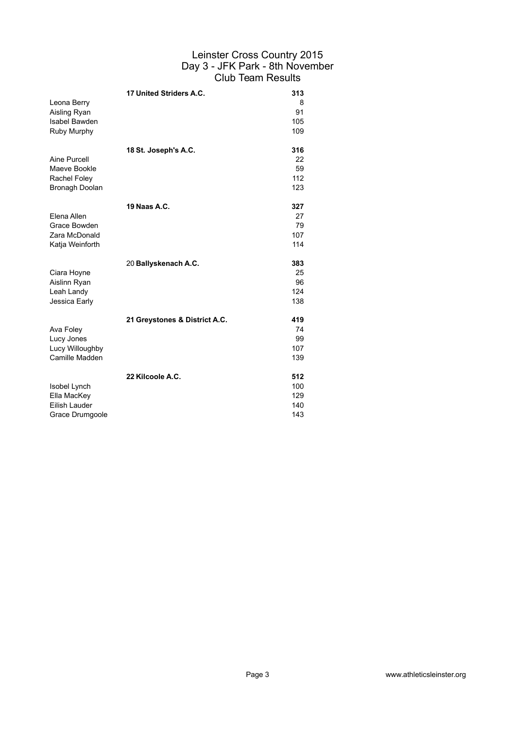| Leona Berry<br>Aisling Ryan<br>Isabel Bawden<br>Ruby Murphy     | 17 United Striders A.C.       | 313<br>8<br>91<br>105<br>109    |
|-----------------------------------------------------------------|-------------------------------|---------------------------------|
| Aine Purcell<br>Maeve Bookle<br>Rachel Foley<br>Bronagh Doolan  | 18 St. Joseph's A.C.          | 316<br>22<br>59<br>112<br>123   |
| Elena Allen<br>Grace Bowden<br>Zara McDonald<br>Katja Weinforth | 19 Naas A.C.                  | 327<br>27<br>79<br>107<br>114   |
| Ciara Hoyne<br>Aislinn Ryan<br>Leah Landy<br>Jessica Early      | 20 Ballyskenach A.C.          | 383<br>25<br>96<br>124<br>138   |
| Ava Foley<br>Lucy Jones<br>Lucy Willoughby<br>Camille Madden    | 21 Greystones & District A.C. | 419<br>74<br>99<br>107<br>139   |
| Isobel Lynch<br>Ella MacKey<br>Eilish Lauder<br>Grace Drumgoole | 22 Kilcoole A.C.              | 512<br>100<br>129<br>140<br>143 |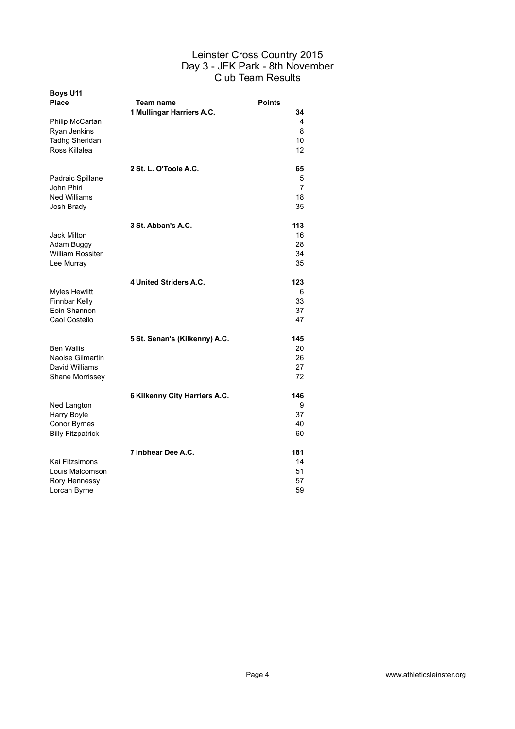| <b>Boys U11</b><br><b>Place</b>                                            | <b>Team name</b>              | <b>Points</b>                         |
|----------------------------------------------------------------------------|-------------------------------|---------------------------------------|
| Philip McCartan<br>Ryan Jenkins<br><b>Tadhg Sheridan</b><br>Ross Killalea  | 1 Mullingar Harriers A.C.     | 34<br>4<br>8<br>10<br>12              |
| Padraic Spillane<br>John Phiri<br><b>Ned Williams</b><br>Josh Brady        | 2 St. L. O'Toole A.C.         | 65<br>5<br>$\overline{7}$<br>18<br>35 |
| <b>Jack Milton</b><br>Adam Buggy<br><b>William Rossiter</b><br>Lee Murray  | 3 St. Abban's A.C.            | 113<br>16<br>28<br>34<br>35           |
| <b>Myles Hewlitt</b><br>Finnbar Kelly<br>Eoin Shannon<br>Caol Costello     | 4 United Striders A.C.        | 123<br>6<br>33<br>37<br>47            |
| <b>Ben Wallis</b><br>Naoise Gilmartin<br>David Williams<br>Shane Morrissey | 5 St. Senan's (Kilkenny) A.C. | 145<br>20<br>26<br>27<br>72           |
| Ned Langton<br>Harry Boyle<br>Conor Byrnes<br><b>Billy Fitzpatrick</b>     | 6 Kilkenny City Harriers A.C. | 146<br>9<br>37<br>40<br>60            |
| Kai Fitzsimons<br>Louis Malcomson<br>Rory Hennessy<br>Lorcan Byrne         | 7 Inbhear Dee A.C.            | 181<br>14<br>51<br>57<br>59           |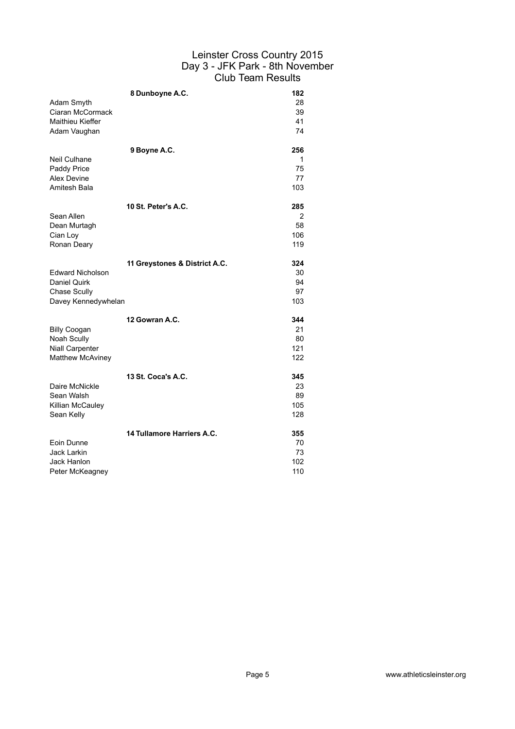| Adam Smyth<br>Ciaran McCormack<br><b>Maithieu Kieffer</b><br>Adam Vaughan        | 8 Dunboyne A.C.               | 182<br>28<br>39<br>41<br>74   |
|----------------------------------------------------------------------------------|-------------------------------|-------------------------------|
| Neil Culhane<br>Paddy Price<br>Alex Devine<br>Amitesh Bala                       | 9 Boyne A.C.                  | 256<br>1<br>75<br>77<br>103   |
| Sean Allen<br>Dean Murtagh<br>Cian Loy<br>Ronan Deary                            | 10 St. Peter's A.C.           | 285<br>2<br>58<br>106<br>119  |
| <b>Edward Nicholson</b><br>Daniel Quirk<br>Chase Scully<br>Davey Kennedywhelan   | 11 Greystones & District A.C. | 324<br>30<br>94<br>97<br>103  |
| <b>Billy Coogan</b><br>Noah Scully<br>Niall Carpenter<br><b>Matthew McAviney</b> | 12 Gowran A.C.                | 344<br>21<br>80<br>121<br>122 |
| Daire McNickle<br>Sean Walsh<br>Killian McCauley<br>Sean Kelly                   | 13 St. Coca's A.C.            | 345<br>23<br>89<br>105<br>128 |
| Eoin Dunne<br>Jack Larkin<br>Jack Hanlon<br>Peter McKeagney                      | 14 Tullamore Harriers A.C.    | 355<br>70<br>73<br>102<br>110 |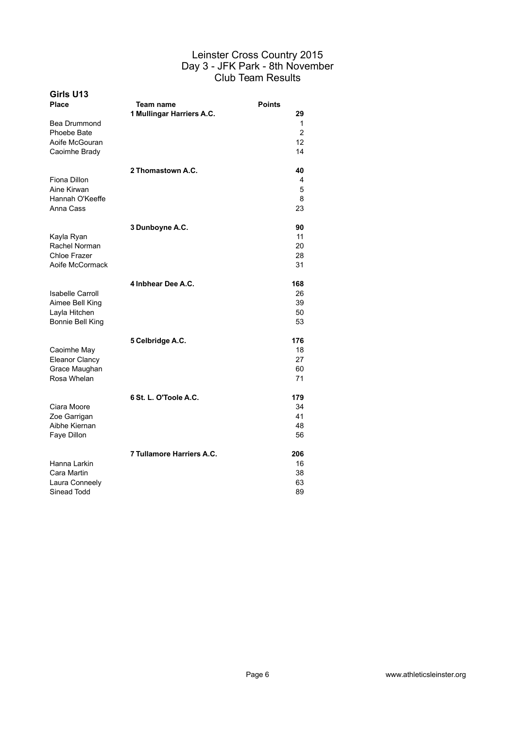| Girls U13<br>Place<br>Bea Drummond<br>Phoebe Bate<br>Aoife McGouran<br>Caoimhe Brady | Team name<br>1 Mullingar Harriers A.C. | <b>Points</b><br>29<br>1<br>$\overline{2}$<br>12<br>14 |
|--------------------------------------------------------------------------------------|----------------------------------------|--------------------------------------------------------|
| Fiona Dillon<br>Aine Kirwan<br>Hannah O'Keeffe<br>Anna Cass                          | 2 Thomastown A.C.                      | 40<br>4<br>5<br>8<br>23                                |
| Kayla Ryan<br>Rachel Norman<br>Chloe Frazer<br>Aoife McCormack                       | 3 Dunboyne A.C.                        | 90<br>11<br>20<br>28<br>31                             |
| Isabelle Carroll<br>Aimee Bell King<br>Layla Hitchen<br>Bonnie Bell King             | 4 Inbhear Dee A.C.                     | 168<br>26<br>39<br>50<br>53                            |
| Caoimhe May<br><b>Eleanor Clancy</b><br>Grace Maughan<br>Rosa Whelan                 | 5 Celbridge A.C.                       | 176<br>18<br>27<br>60<br>71                            |
| Ciara Moore<br>Zoe Garrigan<br>Aibhe Kiernan<br>Faye Dillon                          | 6 St. L. O'Toole A.C.                  | 179<br>34<br>41<br>48<br>56                            |
| Hanna Larkin<br>Cara Martin<br>Laura Conneely<br>Sinead Todd                         | 7 Tullamore Harriers A.C.              | 206<br>16<br>38<br>63<br>89                            |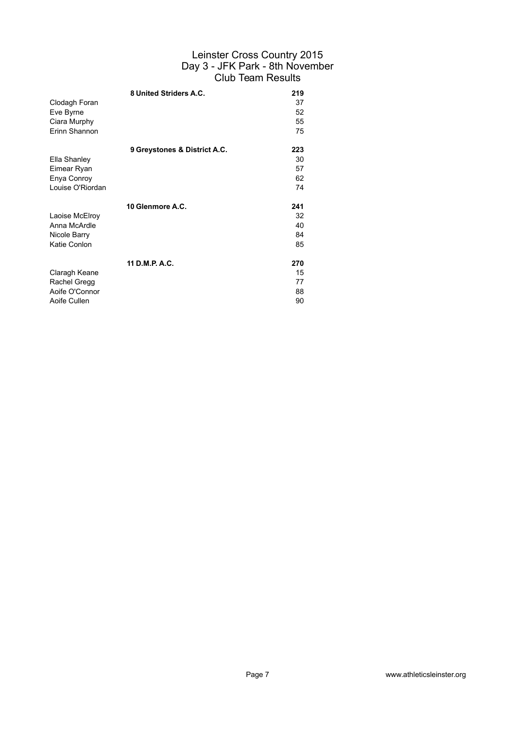|                  | 8 United Striders A.C.       | 219 |
|------------------|------------------------------|-----|
| Clodagh Foran    |                              | 37  |
| Eve Byrne        |                              | 52  |
| Ciara Murphy     |                              | 55  |
| Erinn Shannon    |                              | 75  |
|                  | 9 Greystones & District A.C. | 223 |
| Ella Shanley     |                              | 30  |
| Eimear Ryan      |                              | 57  |
| Enya Conroy      |                              | 62  |
| Louise O'Riordan |                              | 74  |
|                  | 10 Glenmore A.C.             | 241 |
| Laoise McElroy   |                              | 32  |
| Anna McArdle     |                              | 40  |
| Nicole Barry     |                              | 84  |
| Katie Conlon     |                              | 85  |
|                  | 11 D.M.P. A.C.               | 270 |
| Claragh Keane    |                              | 15  |
| Rachel Gregg     |                              | 77  |
| Aoife O'Connor   |                              | 88  |
| Aoife Cullen     |                              | 90  |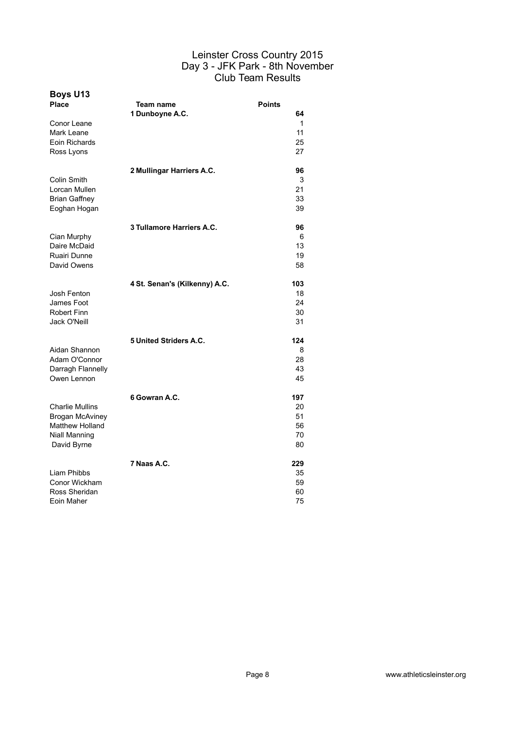| <b>Boys U13</b><br>Place<br>Conor Leane<br>Mark Leane<br>Eoin Richards<br>Ross Lyons                       | Team name<br>1 Dunboyne A.C.  | <b>Points</b><br>64<br>1<br>11<br>25<br>27 |
|------------------------------------------------------------------------------------------------------------|-------------------------------|--------------------------------------------|
| Colin Smith<br>Lorcan Mullen<br><b>Brian Gaffney</b><br>Eoghan Hogan                                       | 2 Mullingar Harriers A.C.     | 96<br>3<br>21<br>33<br>39                  |
| Cian Murphy<br>Daire McDaid<br>Ruairi Dunne<br>David Owens                                                 | 3 Tullamore Harriers A.C.     | 96<br>6<br>13<br>19<br>58                  |
| Josh Fenton<br>James Foot<br><b>Robert Finn</b><br>Jack O'Neill                                            | 4 St. Senan's (Kilkenny) A.C. | 103<br>18<br>24<br>30<br>31                |
| Aidan Shannon<br>Adam O'Connor<br>Darragh Flannelly<br>Owen Lennon                                         | 5 United Striders A.C.        | 124<br>8<br>28<br>43<br>45                 |
| <b>Charlie Mullins</b><br><b>Brogan McAviney</b><br><b>Matthew Holland</b><br>Niall Manning<br>David Byrne | 6 Gowran A.C.                 | 197<br>20<br>51<br>56<br>70<br>80          |
| Liam Phibbs<br>Conor Wickham<br>Ross Sheridan<br>Eoin Maher                                                | 7 Naas A.C.                   | 229<br>35<br>59<br>60<br>75                |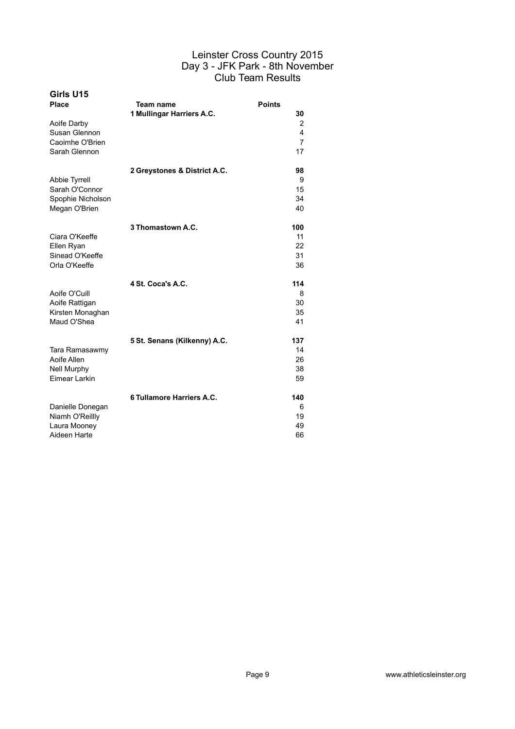| Girls U15<br><b>Place</b>                                        | Team name                    | <b>Points</b><br>30                         |
|------------------------------------------------------------------|------------------------------|---------------------------------------------|
| Aoife Darby<br>Susan Glennon<br>Caoimhe O'Brien<br>Sarah Glennon | 1 Mullingar Harriers A.C.    | 2<br>$\overline{4}$<br>$\overline{7}$<br>17 |
|                                                                  | 2 Greystones & District A.C. | 98                                          |
| Abbie Tyrrell<br>Sarah O'Connor                                  |                              | 9<br>15                                     |
| Spophie Nicholson                                                |                              | 34                                          |
| Megan O'Brien                                                    |                              | 40                                          |
|                                                                  | 3 Thomastown A.C.            | 100                                         |
| Ciara O'Keeffe                                                   |                              | 11                                          |
| Ellen Ryan                                                       |                              | 22                                          |
| Sinead O'Keeffe                                                  |                              | 31                                          |
| Orla O'Keeffe                                                    |                              | 36                                          |
|                                                                  | 4 St. Coca's A.C.            | 114                                         |
| Aoife O'Cuill                                                    |                              | 8                                           |
| Aoife Rattigan                                                   |                              | 30                                          |
| Kirsten Monaghan                                                 |                              | 35                                          |
| Maud O'Shea                                                      |                              | 41                                          |
|                                                                  | 5 St. Senans (Kilkenny) A.C. | 137                                         |
| Tara Ramasawmy                                                   |                              | 14                                          |
| Aoife Allen                                                      |                              | 26                                          |
| <b>Nell Murphy</b><br>Eimear Larkin                              |                              | 38<br>59                                    |
|                                                                  |                              |                                             |
|                                                                  | 6 Tullamore Harriers A.C.    | 140                                         |
| Danielle Donegan                                                 |                              | 6                                           |
| Niamh O'Reillly                                                  |                              | 19                                          |
| Laura Mooney<br>Aideen Harte                                     |                              | 49<br>66                                    |
|                                                                  |                              |                                             |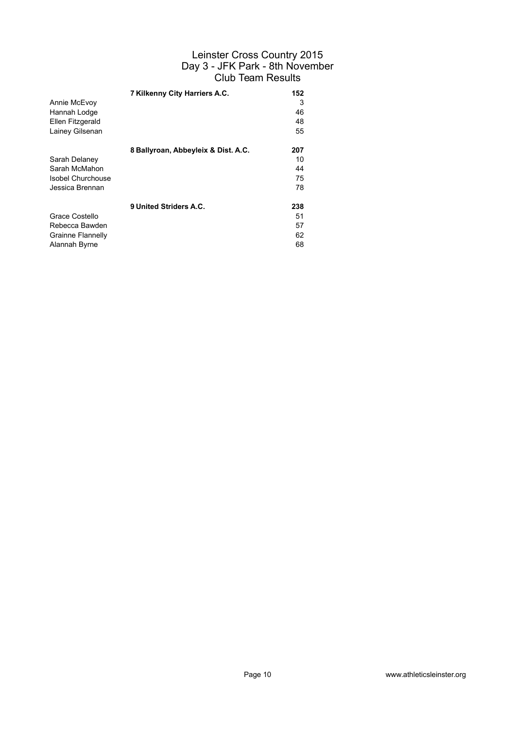|                          | 7 Kilkenny City Harriers A.C.       | 152 |
|--------------------------|-------------------------------------|-----|
| Annie McEvoy             |                                     | 3   |
| Hannah Lodge             |                                     | 46  |
| Ellen Fitzgerald         |                                     | 48  |
| Lainey Gilsenan          |                                     | 55  |
|                          | 8 Ballyroan, Abbeyleix & Dist. A.C. | 207 |
| Sarah Delaney            |                                     | 10  |
| Sarah McMahon            |                                     | 44  |
| <b>Isobel Churchouse</b> |                                     | 75  |
| Jessica Brennan          |                                     | 78  |
|                          | 9 United Striders A.C.              | 238 |
| Grace Costello           |                                     | 51  |
| Rebecca Bawden           |                                     | 57  |
| <b>Grainne Flannelly</b> |                                     | 62  |
| Alannah Byrne            |                                     | 68  |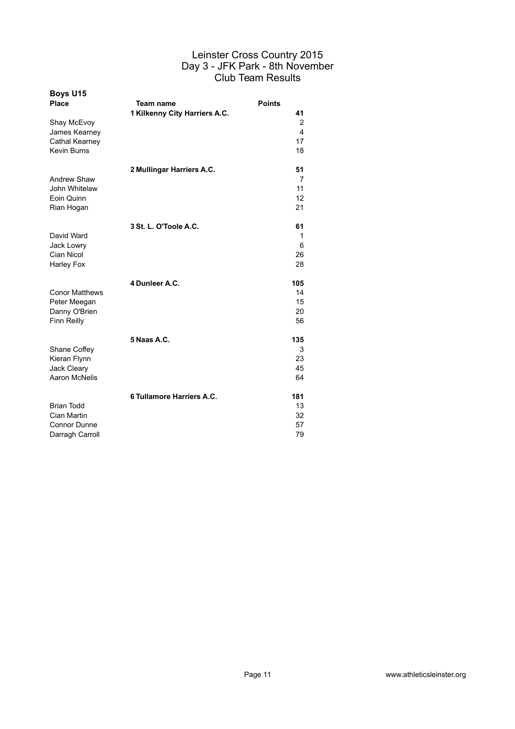| <b>Boys U15</b><br><b>Place</b>                                            | Team name<br>1 Kilkenny City Harriers A.C. | <b>Points</b><br>41         |
|----------------------------------------------------------------------------|--------------------------------------------|-----------------------------|
| Shay McEvoy<br>James Kearney<br>Cathal Kearney<br><b>Kevin Burns</b>       |                                            | 2<br>4<br>17<br>18          |
| Andrew Shaw<br>John Whitelaw<br>Eoin Quinn<br>Rian Hogan                   | 2 Mullingar Harriers A.C.                  | 51<br>7<br>11<br>12<br>21   |
| David Ward<br>Jack Lowry<br>Cian Nicol<br>Harley Fox                       | 3 St. L. O'Toole A.C.                      | 61<br>1<br>6<br>26<br>28    |
| <b>Conor Matthews</b><br>Peter Meegan<br>Danny O'Brien<br>Finn Reilly      | 4 Dunleer A.C.                             | 105<br>14<br>15<br>20<br>56 |
| Shane Coffey<br>Kieran Flynn<br>Jack Cleary<br>Aaron McNelis               | 5 Naas A.C.                                | 135<br>3<br>23<br>45<br>64  |
| <b>Brian Todd</b><br>Cian Martin<br><b>Connor Dunne</b><br>Darragh Carroll | 6 Tullamore Harriers A.C.                  | 181<br>13<br>32<br>57<br>79 |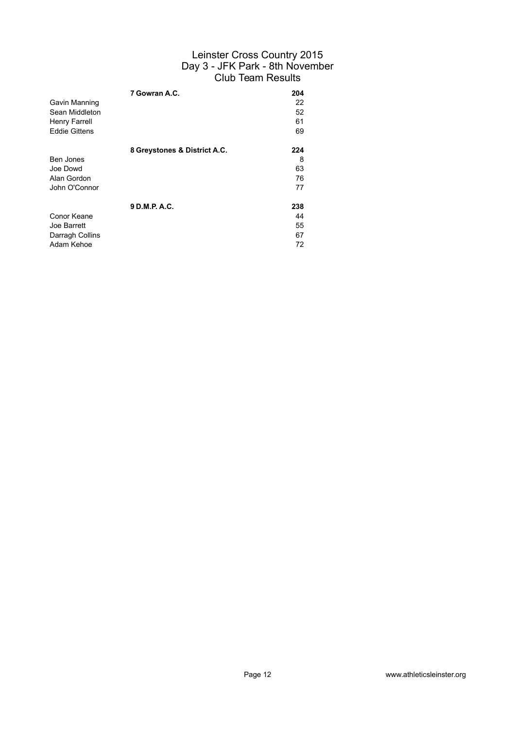|                      | 7 Gowran A.C.                | 204 |
|----------------------|------------------------------|-----|
| Gavin Manning        |                              | 22  |
| Sean Middleton       |                              | 52  |
| Henry Farrell        |                              | 61  |
| <b>Eddie Gittens</b> |                              | 69  |
|                      |                              |     |
|                      | 8 Greystones & District A.C. | 224 |
| Ben Jones            |                              | 8   |
| Joe Dowd             |                              | 63  |
| Alan Gordon          |                              | 76  |
| John O'Connor        |                              | 77  |
|                      | 9 D.M.P. A.C.                | 238 |
| Conor Keane          |                              | 44  |
| Joe Barrett          |                              | 55  |
| Darragh Collins      |                              | 67  |
| Adam Kehoe           |                              | 72  |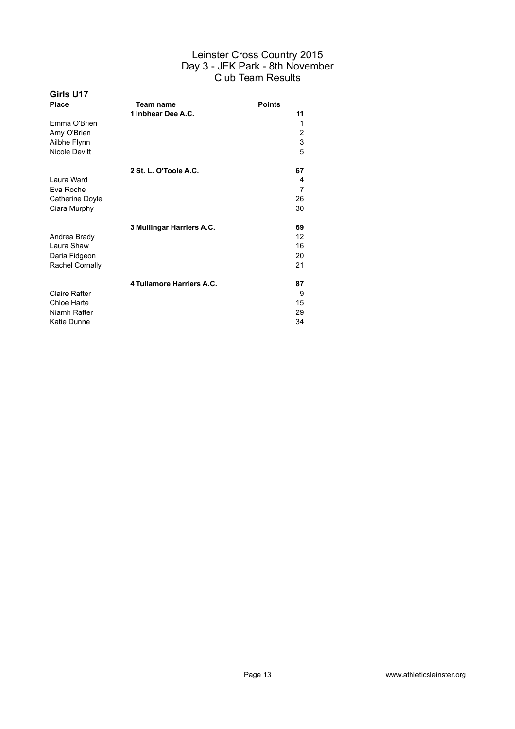| Girls U17              |                           |               |
|------------------------|---------------------------|---------------|
| Place                  | Team name                 | <b>Points</b> |
|                        | 1 Inbhear Dee A.C.        | 11            |
| Emma O'Brien           |                           | 1             |
| Amy O'Brien            |                           | 2             |
| Ailbhe Flynn           |                           | 3             |
| <b>Nicole Devitt</b>   |                           | 5             |
|                        | 2 St. L. O'Toole A.C.     | 67            |
| Laura Ward             |                           | 4             |
| Eva Roche              |                           | 7             |
| Catherine Doyle        |                           | 26            |
| Ciara Murphy           |                           | 30            |
|                        | 3 Mullingar Harriers A.C. | 69            |
| Andrea Brady           |                           | 12            |
| Laura Shaw             |                           | 16            |
| Daria Fidgeon          |                           | 20            |
| <b>Rachel Cornally</b> |                           | 21            |
|                        | 4 Tullamore Harriers A.C. | 87            |
| <b>Claire Rafter</b>   |                           | 9             |
| Chloe Harte            |                           | 15            |
| Niamh Rafter           |                           | 29            |
| Katie Dunne            |                           | 34            |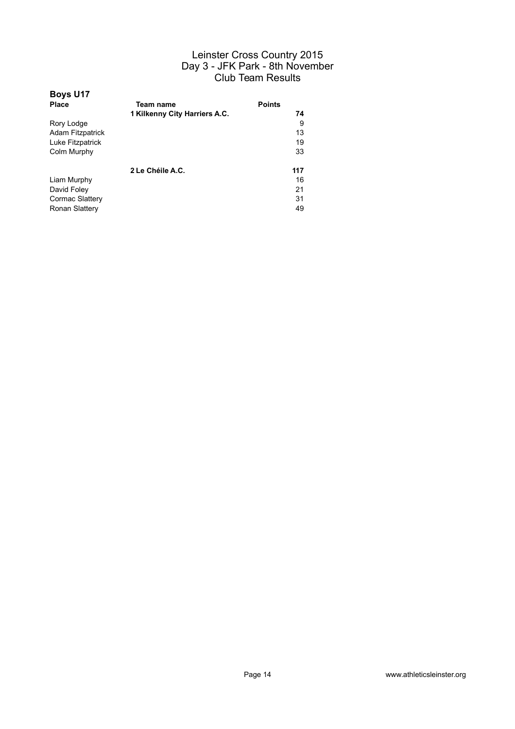| <b>Boys U17</b>         |                               |               |
|-------------------------|-------------------------------|---------------|
| Place                   | Team name                     | <b>Points</b> |
|                         | 1 Kilkenny City Harriers A.C. | 74            |
| Rory Lodge              |                               | 9             |
| <b>Adam Fitzpatrick</b> |                               | 13            |
| Luke Fitzpatrick        |                               | 19            |
| Colm Murphy             |                               | 33            |
|                         | 2 Le Chéile A.C.              | 117           |
| Liam Murphy             |                               | 16            |
| David Foley             |                               | 21            |
| Cormac Slattery         |                               | 31            |
| Ronan Slattery          |                               | 49            |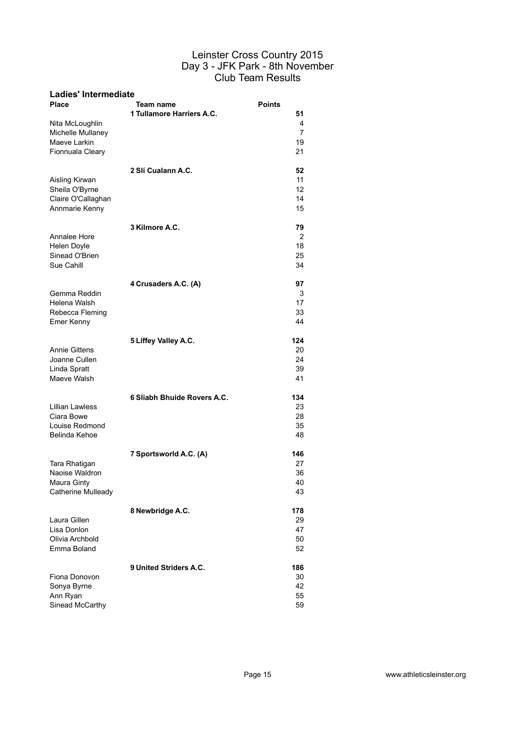| <b>Ladies' Intermediate</b>     |                                        |                     |
|---------------------------------|----------------------------------------|---------------------|
| <b>Place</b>                    | Team name<br>1 Tullamore Harriers A.C. | <b>Points</b><br>51 |
| Nita McLoughlin                 |                                        | 4                   |
| Michelle Mullaney               |                                        | 7                   |
| Maeve Larkin                    |                                        | 19                  |
| Fionnuala Cleary                |                                        | 21                  |
| Aisling Kirwan                  | 2 Slí Cualann A.C.                     | 52<br>11            |
| Sheila O'Byrne                  |                                        | 12                  |
| Claire O'Callaghan              |                                        | 14                  |
| Annmarie Kenny                  |                                        | 15                  |
|                                 | 3 Kilmore A.C.                         | 79                  |
| Annalee Hore                    |                                        | 2                   |
| Helen Doyle<br>Sinead O'Brien   |                                        | 18<br>25            |
| Sue Cahill                      |                                        | 34                  |
|                                 | 4 Crusaders A.C. (A)                   | 97                  |
| Gemma Reddin                    |                                        | 3                   |
| Helena Walsh                    |                                        | 17                  |
| Rebecca Fleming                 |                                        | 33                  |
| Emer Kenny                      |                                        | 44                  |
|                                 | 5 Liffey Valley A.C.                   | 124                 |
| <b>Annie Gittens</b>            |                                        | 20                  |
| Joanne Cullen                   |                                        | 24                  |
| Linda Spratt<br>Maeve Walsh     |                                        | 39<br>41            |
|                                 |                                        |                     |
|                                 | 6 Sliabh Bhuide Rovers A.C.            | 134                 |
| <b>Lillian Lawless</b>          |                                        | 23                  |
| Ciara Bowe<br>Louise Redmond    |                                        | 28<br>35            |
| Belinda Kehoe                   |                                        | 48                  |
|                                 |                                        |                     |
|                                 | 7 Sportsworld A.C. (A)                 | 146                 |
| Tara Rhatigan<br>Naoise Waldron |                                        | 27<br>36            |
| Maura Ginty                     |                                        | 40                  |
| Catherine Mulleady              |                                        | 43                  |
|                                 | 8 Newbridge A.C.                       | 178                 |
| Laura Gillen                    |                                        | 29                  |
| Lisa Donlon                     |                                        | 47                  |
| Olivia Archbold                 |                                        | 50                  |
| Emma Boland                     |                                        | 52                  |
|                                 | 9 United Striders A.C.                 | 186                 |
| Fiona Donovon                   |                                        | 30                  |
| Sonya Byrne                     |                                        | 42                  |
| Ann Ryan<br>Sinead McCarthy     |                                        | 55<br>59            |
|                                 |                                        |                     |